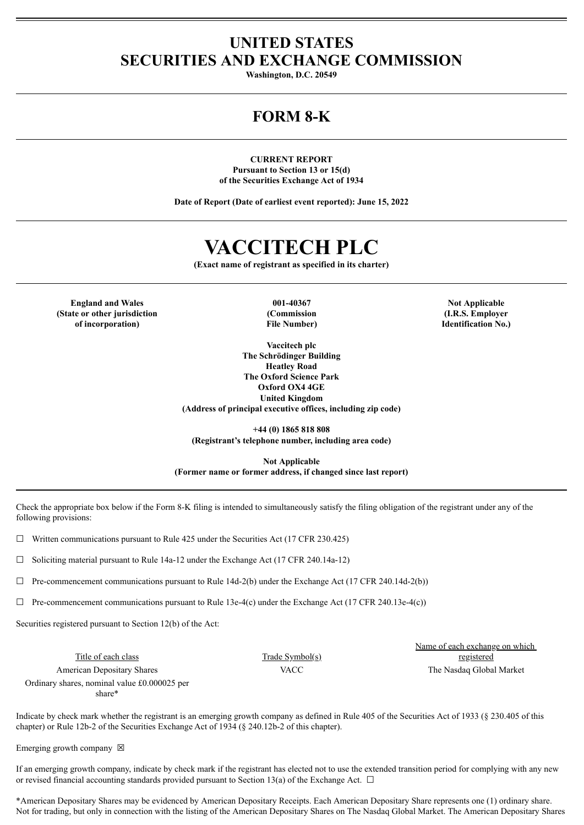### **UNITED STATES SECURITIES AND EXCHANGE COMMISSION**

**Washington, D.C. 20549**

## **FORM 8-K**

**CURRENT REPORT Pursuant to Section 13 or 15(d) of the Securities Exchange Act of 1934**

**Date of Report (Date of earliest event reported): June 15, 2022**

# **VACCITECH PLC**

**(Exact name of registrant as specified in its charter)**

**England and Wales 001-40367 Not Applicable (State or other jurisdiction of incorporation)**

**(Commission File Number)**

**Vaccitech plc The Schrödinger Building Heatley Road The Oxford Science Park Oxford OX4 4GE United Kingdom (Address of principal executive offices, including zip code)**

**+44 (0) 1865 818 808 (Registrant's telephone number, including area code)**

**Not Applicable (Former name or former address, if changed since last report)**

Check the appropriate box below if the Form 8-K filing is intended to simultaneously satisfy the filing obligation of the registrant under any of the following provisions:

 $\Box$  Written communications pursuant to Rule 425 under the Securities Act (17 CFR 230.425)

 $\Box$  Soliciting material pursuant to Rule 14a-12 under the Exchange Act (17 CFR 240.14a-12)

 $\Box$  Pre-commencement communications pursuant to Rule 14d-2(b) under the Exchange Act (17 CFR 240.14d-2(b))

 $\Box$  Pre-commencement communications pursuant to Rule 13e-4(c) under the Exchange Act (17 CFR 240.13e-4(c))

Securities registered pursuant to Section 12(b) of the Act:

Title of each class Trade Symbol(s) American Depositary Shares The Nasdaq Global Market Nacional American Depositary Shares The Nasdaq Global Market Ordinary shares, nominal value £0.000025 per

Name of each exchange on which registered

share\*

Indicate by check mark whether the registrant is an emerging growth company as defined in Rule 405 of the Securities Act of 1933 (§ 230.405 of this chapter) or Rule 12b-2 of the Securities Exchange Act of 1934 (§ 240.12b-2 of this chapter).

Emerging growth company  $\boxtimes$ 

If an emerging growth company, indicate by check mark if the registrant has elected not to use the extended transition period for complying with any new or revised financial accounting standards provided pursuant to Section 13(a) of the Exchange Act.  $\Box$ 

\*American Depositary Shares may be evidenced by American Depositary Receipts. Each American Depositary Share represents one (1) ordinary share. Not for trading, but only in connection with the listing of the American Depositary Shares on The Nasdaq Global Market. The American Depositary Shares

**(I.R.S. Employer Identification No.)**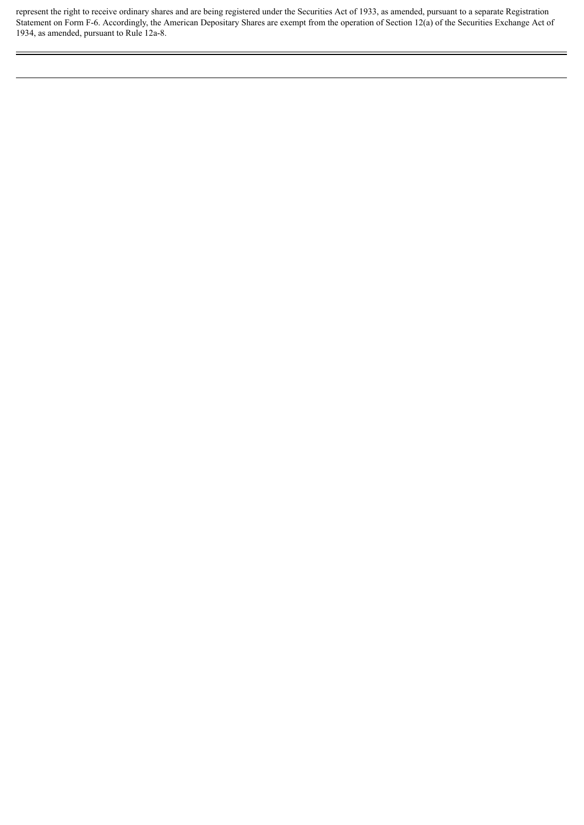represent the right to receive ordinary shares and are being registered under the Securities Act of 1933, as amended, pursuant to a separate Registration Statement on Form F-6. Accordingly, the American Depositary Shares are exempt from the operation of Section 12(a) of the Securities Exchange Act of 1934, as amended, pursuant to Rule 12a-8.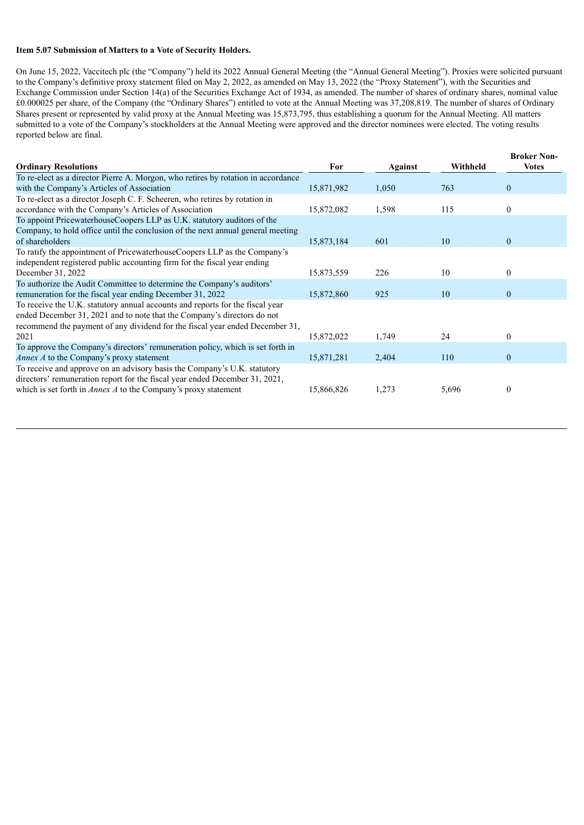#### **Item 5.07 Submission of Matters to a Vote of Security Holders.**

On June 15, 2022, Vaccitech plc (the "Company") held its 2022 Annual General Meeting (the "Annual General Meeting"). Proxies were solicited pursuant to the Company's definitive proxy statement filed on May 2, 2022, as amended on May 13, 2022 (the "Proxy Statement"), with the Securities and Exchange Commission under Section 14(a) of the Securities Exchange Act of 1934, as amended. The number of shares of ordinary shares, nominal value £0.000025 per share, of the Company (the "Ordinary Shares") entitled to vote at the Annual Meeting was 37,208,819. The number of shares of Ordinary Shares present or represented by valid proxy at the Annual Meeting was 15,873,795, thus establishing a quorum for the Annual Meeting. All matters submitted to a vote of the Company's stockholders at the Annual Meeting were approved and the director nominees were elected. The voting results reported below are final.

|                                                                                   |            |         |          | <b>Broker Non-</b> |
|-----------------------------------------------------------------------------------|------------|---------|----------|--------------------|
| <b>Ordinary Resolutions</b>                                                       | For        | Against | Withheld | <b>Votes</b>       |
| To re-elect as a director Pierre A. Morgon, who retires by rotation in accordance |            |         |          |                    |
| with the Company's Articles of Association                                        | 15,871,982 | 1,050   | 763      | $\theta$           |
| To re-elect as a director Joseph C. F. Scheeren, who retires by rotation in       |            |         |          |                    |
| accordance with the Company's Articles of Association                             | 15,872,082 | 1,598   | 115      | $\theta$           |
| To appoint PricewaterhouseCoopers LLP as U.K. statutory auditors of the           |            |         |          |                    |
| Company, to hold office until the conclusion of the next annual general meeting   |            |         |          |                    |
| of shareholders                                                                   | 15,873,184 | 601     | 10       | $\theta$           |
| To ratify the appointment of PricewaterhouseCoopers LLP as the Company's          |            |         |          |                    |
| independent registered public accounting firm for the fiscal year ending          |            |         |          |                    |
| December 31, 2022                                                                 | 15,873,559 | 226     | 10       | $\theta$           |
| To authorize the Audit Committee to determine the Company's auditors'             |            |         |          |                    |
| remuneration for the fiscal year ending December 31, 2022                         | 15,872,860 | 925     | 10       | $\theta$           |
| To receive the U.K. statutory annual accounts and reports for the fiscal year     |            |         |          |                    |
| ended December 31, 2021 and to note that the Company's directors do not           |            |         |          |                    |
| recommend the payment of any dividend for the fiscal year ended December 31,      |            |         |          |                    |
| 2021                                                                              | 15,872,022 | 1,749   | 24       | $\Omega$           |
| To approve the Company's directors' remuneration policy, which is set forth in    |            |         |          |                    |
| Annex A to the Company's proxy statement                                          | 15,871,281 | 2,404   | 110      | $\theta$           |
| To receive and approve on an advisory basis the Company's U.K. statutory          |            |         |          |                    |
| directors' remuneration report for the fiscal year ended December 31, 2021,       |            |         |          |                    |
| which is set forth in $Annex\,A$ to the Company's proxy statement                 | 15,866,826 | 1,273   | 5,696    | $\theta$           |
|                                                                                   |            |         |          |                    |